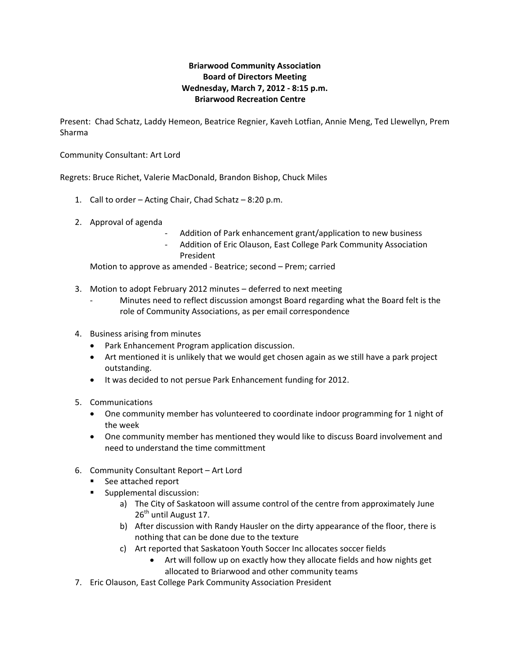## **Briarwood Community Association Board of Directors Meeting Wednesday, March 7, 2012 ‐ 8:15 p.m. Briarwood Recreation Centre**

Present: Chad Schatz, Laddy Hemeon, Beatrice Regnier, Kaveh Lotfian, Annie Meng, Ted Llewellyn, Prem Sharma

Community Consultant: Art Lord

Regrets: Bruce Richet, Valerie MacDonald, Brandon Bishop, Chuck Miles

- 1. Call to order Acting Chair, Chad Schatz 8:20 p.m.
- 2. Approval of agenda
	- ‐ Addition of Park enhancement grant/application to new business
	- ‐ Addition of Eric Olauson, East College Park Community Association President

Motion to approve as amended ‐ Beatrice; second – Prem; carried

- 3. Motion to adopt February 2012 minutes deferred to next meeting
	- ‐ Minutes need to reflect discussion amongst Board regarding what the Board felt is the role of Community Associations, as per email correspondence
- 4. Business arising from minutes
	- Park Enhancement Program application discussion.
	- Art mentioned it is unlikely that we would get chosen again as we still have a park project outstanding.
	- It was decided to not persue Park Enhancement funding for 2012.
- 5. Communications
	- One community member has volunteered to coordinate indoor programming for 1 night of the week
	- One community member has mentioned they would like to discuss Board involvement and need to understand the time committment
- 6. Community Consultant Report Art Lord
	- See attached report
	- **Supplemental discussion:** 
		- a) The City of Saskatoon will assume control of the centre from approximately June 26<sup>th</sup> until August 17.
		- b) After discussion with Randy Hausler on the dirty appearance of the floor, there is nothing that can be done due to the texture
		- c) Art reported that Saskatoon Youth Soccer Inc allocates soccer fields
			- Art will follow up on exactly how they allocate fields and how nights get allocated to Briarwood and other community teams
- 7. Eric Olauson, East College Park Community Association President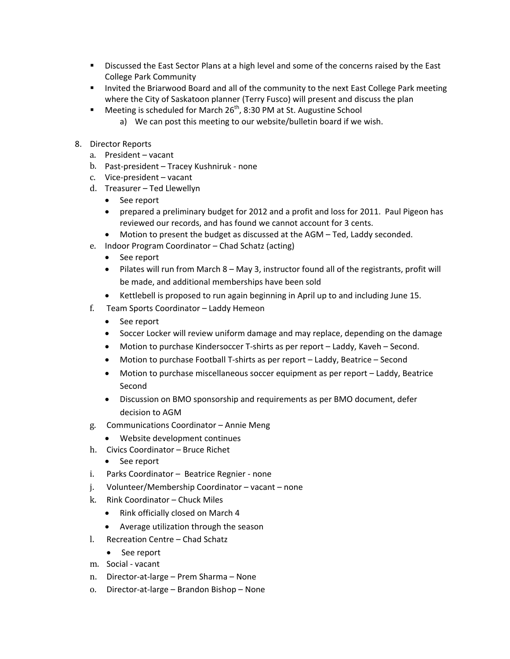- **Discussed the East Sector Plans at a high level and some of the concerns raised by the East** College Park Community
- **Invited the Briarwood Board and all of the community to the next East College Park meeting** where the City of Saskatoon planner (Terry Fusco) will present and discuss the plan
- Meeting is scheduled for March  $26<sup>th</sup>$ , 8:30 PM at St. Augustine School a) We can post this meeting to our website/bulletin board if we wish.
- 8. Director Reports
	- a. President vacant
	- b. Past-president Tracey Kushniruk none
	- c. Vice-president vacant
	- d. Treasurer Ted Llewellyn
		- See report
		- prepared a preliminary budget for 2012 and a profit and loss for 2011. Paul Pigeon has reviewed our records, and has found we cannot account for 3 cents.
		- Motion to present the budget as discussed at the AGM Ted, Laddy seconded.
	- e. Indoor Program Coordinator Chad Schatz (acting)
		- See report
		- Pilates will run from March 8 May 3, instructor found all of the registrants, profit will be made, and additional memberships have been sold
		- Kettlebell is proposed to run again beginning in April up to and including June 15.
	- f. Team Sports Coordinator Laddy Hemeon
		- See report
		- Soccer Locker will review uniform damage and may replace, depending on the damage
		- Motion to purchase Kindersoccer T-shirts as per report Laddy, Kaveh Second.
		- Motion to purchase Football T-shirts as per report Laddy, Beatrice Second
		- Motion to purchase miscellaneous soccer equipment as per report Laddy, Beatrice Second
		- Discussion on BMO sponsorship and requirements as per BMO document, defer decision to AGM
	- g. Communications Coordinator Annie Meng
	- Website development continues
	- h. Civics Coordinator Bruce Richet
		- See report
	- i. Parks Coordinator Beatrice Regnier none
	- j. Volunteer/Membership Coordinator vacant none
	- k. Rink Coordinator Chuck Miles
		- Rink officially closed on March 4
		- Average utilization through the season
	- l. Recreation Centre Chad Schatz
		- See report
	- m. Social vacant
	- n. Director‐at‐large Prem Sharma None
	- o. Director‐at‐large Brandon Bishop None